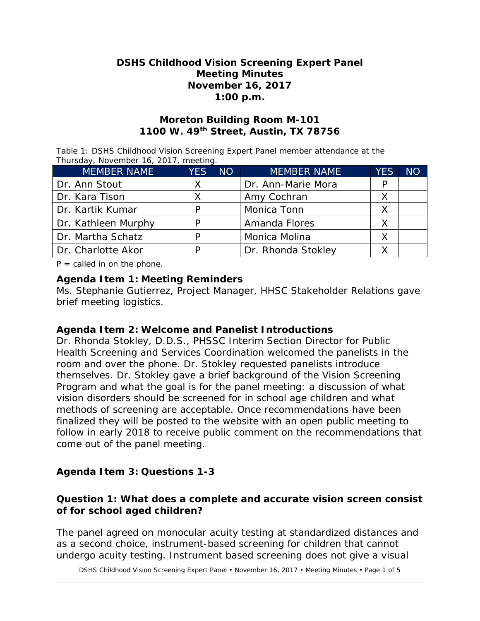## **DSHS Childhood Vision Screening Expert Panel Meeting Minutes November 16, 2017 1:00 p.m.**

## **Moreton Building Room M-101 1100 W. 49th Street, Austin, TX 78756**

Table 1: DSHS Childhood Vision Screening Expert Panel member attendance at the Thursday, November 16, 2017, meeting.

| <b>MEMBER NAME</b>  | <b>YES</b> | <b>NO</b> | <b>MEMBER NAME</b> | <b>YES</b> | <b>NO</b> |
|---------------------|------------|-----------|--------------------|------------|-----------|
| Dr. Ann Stout       | Х          |           | Dr. Ann-Marie Mora | P          |           |
| Dr. Kara Tison      |            |           | Amy Cochran        |            |           |
| Dr. Kartik Kumar    |            |           | Monica Tonn        |            |           |
| Dr. Kathleen Murphy | P          |           | Amanda Flores      |            |           |
| Dr. Martha Schatz   | D          |           | Monica Molina      |            |           |
| Dr. Charlotte Akor  |            |           | Dr. Rhonda Stokley |            |           |

 $P =$  called in on the phone.

## **Agenda Item 1: Meeting Reminders**

Ms. Stephanie Gutierrez, Project Manager, HHSC Stakeholder Relations gave brief meeting logistics.

## **Agenda Item 2: Welcome and Panelist Introductions**

Dr. Rhonda Stokley, D.D.S., PHSSC Interim Section Director for Public Health Screening and Services Coordination welcomed the panelists in the room and over the phone. Dr. Stokley requested panelists introduce themselves. Dr. Stokley gave a brief background of the Vision Screening Program and what the goal is for the panel meeting: a discussion of what vision disorders should be screened for in school age children and what methods of screening are acceptable. Once recommendations have been finalized they will be posted to the website with an open public meeting to follow in early 2018 to receive public comment on the recommendations that come out of the panel meeting.

# **Agenda Item 3: Questions 1-3**

## **Question 1: What does a complete and accurate vision screen consist of for school aged children?**

The panel agreed on monocular acuity testing at standardized distances and as a second choice, instrument-based screening for children that cannot undergo acuity testing. Instrument based screening does not give a visual

DSHS Childhood Vision Screening Expert Panel • November 16, 2017 • Meeting Minutes • Page 1 of 5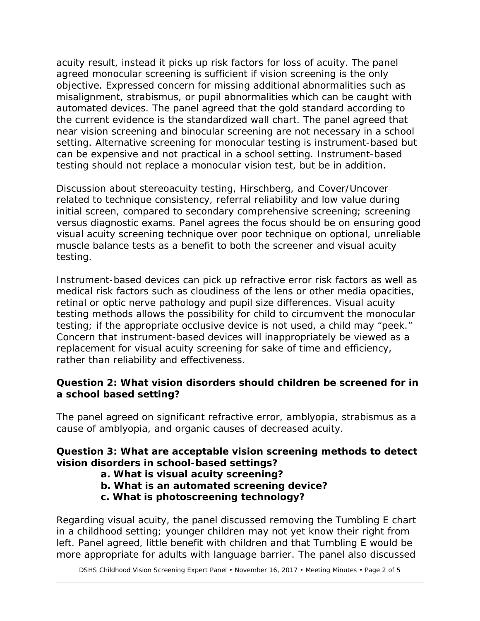acuity result, instead it picks up risk factors for loss of acuity. The panel agreed monocular screening is sufficient if vision screening is the only objective. Expressed concern for missing additional abnormalities such as misalignment, strabismus, or pupil abnormalities which can be caught with automated devices. The panel agreed that the gold standard according to the current evidence is the standardized wall chart. The panel agreed that near vision screening and binocular screening are not necessary in a school setting. Alternative screening for monocular testing is instrument-based but can be expensive and not practical in a school setting. Instrument-based testing should not replace a monocular vision test, but be in addition.

Discussion about stereoacuity testing, Hirschberg, and Cover/Uncover related to technique consistency, referral reliability and low value during initial screen, compared to secondary comprehensive screening; screening versus diagnostic exams. Panel agrees the focus should be on ensuring good visual acuity screening technique over poor technique on optional, unreliable muscle balance tests as a benefit to both the screener and visual acuity testing.

Instrument-based devices can pick up refractive error risk factors as well as medical risk factors such as cloudiness of the lens or other media opacities, retinal or optic nerve pathology and pupil size differences. Visual acuity testing methods allows the possibility for child to circumvent the monocular testing; if the appropriate occlusive device is not used, a child may "peek." Concern that instrument-based devices will inappropriately be viewed as a replacement for visual acuity screening for sake of time and efficiency, rather than reliability and effectiveness.

## **Question 2: What vision disorders should children be screened for in a school based setting?**

The panel agreed on significant refractive error, amblyopia, strabismus as a cause of amblyopia, and organic causes of decreased acuity.

# **Question 3: What are acceptable vision screening methods to detect vision disorders in school-based settings?**

# **a. What is visual acuity screening?**

- **b. What is an automated screening device?**
- **c. What is photoscreening technology?**

Regarding visual acuity, the panel discussed removing the Tumbling E chart in a childhood setting; younger children may not yet know their right from left. Panel agreed, little benefit with children and that Tumbling E would be more appropriate for adults with language barrier. The panel also discussed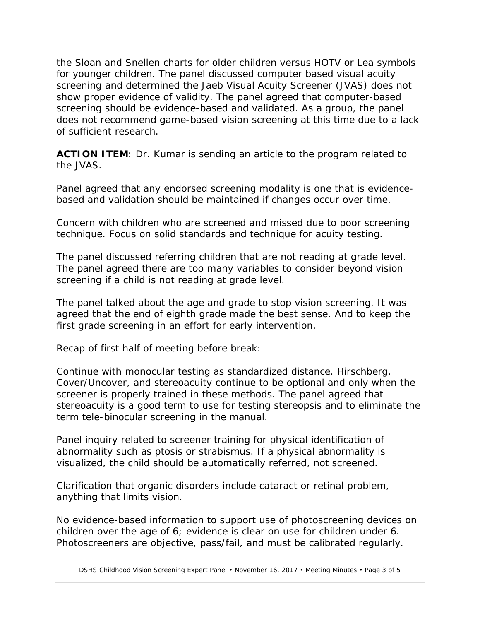the Sloan and Snellen charts for older children versus HOTV or Lea symbols for younger children. The panel discussed computer based visual acuity screening and determined the Jaeb Visual Acuity Screener (JVAS) does not show proper evidence of validity. The panel agreed that computer-based screening should be evidence-based and validated. As a group, the panel does not recommend game-based vision screening at this time due to a lack of sufficient research.

**ACTION ITEM:** Dr. Kumar is sending an article to the program related to the JVAS.

Panel agreed that any endorsed screening modality is one that is evidencebased and validation should be maintained if changes occur over time.

Concern with children who are screened and missed due to poor screening technique. Focus on solid standards and technique for acuity testing.

The panel discussed referring children that are not reading at grade level. The panel agreed there are too many variables to consider beyond vision screening if a child is not reading at grade level.

The panel talked about the age and grade to stop vision screening. It was agreed that the end of eighth grade made the best sense. And to keep the first grade screening in an effort for early intervention.

Recap of first half of meeting before break:

Continue with monocular testing as standardized distance. Hirschberg, Cover/Uncover, and stereoacuity continue to be optional and only when the screener is properly trained in these methods. The panel agreed that stereoacuity is a good term to use for testing stereopsis and to eliminate the term tele-binocular screening in the manual.

Panel inquiry related to screener training for physical identification of abnormality such as ptosis or strabismus. If a physical abnormality is visualized, the child should be automatically referred, not screened.

Clarification that organic disorders include cataract or retinal problem, anything that limits vision.

No evidence-based information to support use of photoscreening devices on children over the age of 6; evidence is clear on use for children under 6. Photoscreeners are objective, pass/fail, and must be calibrated regularly.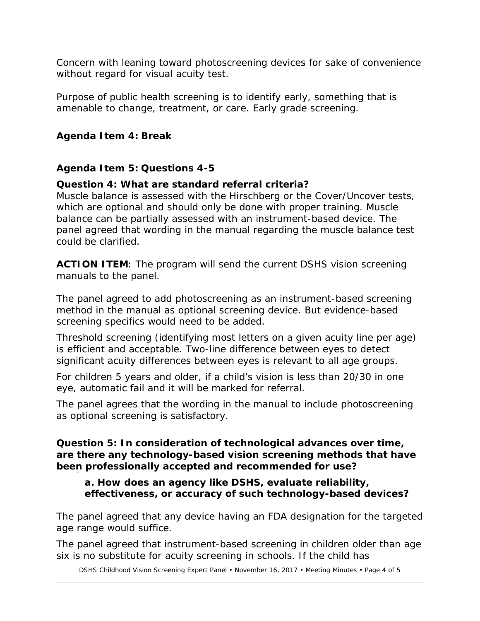Concern with leaning toward photoscreening devices for sake of convenience without regard for visual acuity test.

Purpose of public health screening is to identify early, something that is amenable to change, treatment, or care. Early grade screening.

## **Agenda Item 4: Break**

## **Agenda Item 5: Questions 4-5**

## **Question 4: What are standard referral criteria?**

Muscle balance is assessed with the Hirschberg or the Cover/Uncover tests, which are optional and should only be done with proper training. Muscle balance can be partially assessed with an instrument-based device. The panel agreed that wording in the manual regarding the muscle balance test could be clarified.

**ACTION ITEM**: The program will send the current DSHS vision screening manuals to the panel.

The panel agreed to add photoscreening as an instrument-based screening method in the manual as optional screening device. But evidence-based screening specifics would need to be added.

Threshold screening (identifying most letters on a given acuity line per age) is efficient and acceptable. Two-line difference between eyes to detect significant acuity differences between eyes is relevant to all age groups.

For children 5 years and older, if a child's vision is less than 20/30 in one eye, automatic fail and it will be marked for referral.

The panel agrees that the wording in the manual to include photoscreening as optional screening is satisfactory.

#### **Question 5: In consideration of technological advances over time, are there any technology-based vision screening methods that have been professionally accepted and recommended for use?**

#### **a. How does an agency like DSHS, evaluate reliability, effectiveness, or accuracy of such technology-based devices?**

The panel agreed that any device having an FDA designation for the targeted age range would suffice.

The panel agreed that instrument-based screening in children older than age six is no substitute for acuity screening in schools. If the child has

DSHS Childhood Vision Screening Expert Panel • November 16, 2017 • Meeting Minutes • Page 4 of 5